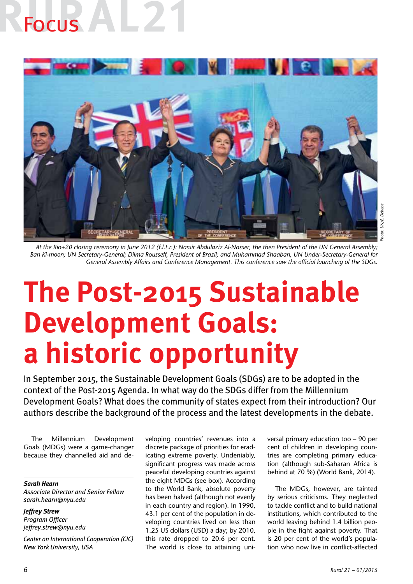# **Focus**



*At the Rio+20 closing ceremony in June 2012 (f.l.t.r.): Nassir Abdulaziz Al-Nasser, the then President of the UN General Assembly; Ban Ki-moon; UN Secretary-General; Dilma Rousseff, President of Brazil; and Muhammad Shaaban, UN Under-Secretary-General for General Assembly Affairs and Conference Management. This conference saw the official launching of the SDGs.*

### **The Post-2015 Sustainable Development Goals: a historic opportunity**

In September 2015, the Sustainable Development Goals (SDGs) are to be adopted in the context of the Post-2015 Agenda. In what way do the SDGs differ from the Millennium Development Goals? What does the community of states expect from their introduction? Our authors describe the background of the process and the latest developments in the debate.

The Millennium Development Goals (MDGs) were a game-changer because they channelled aid and de-

*Sarah Hearn Associate Director and Senior Fellow sarah.hearn@nyu.edu*

*Jeffrey Strew Program Officer jeffrey.strew@nyu.edu*

*Center on International Cooperation (CIC) New York University, USA*

veloping countries' revenues into a discrete package of priorities for eradicating extreme poverty. Undeniably, significant progress was made across peaceful developing countries against the eight MDGs (see box). According to the World Bank, absolute poverty has been halved (although not evenly in each country and region). In 1990, 43.1 per cent of the population in developing countries lived on less than 1.25 US dollars (USD) a day; by 2010, this rate dropped to 20.6 per cent. The world is close to attaining uni-

versal primary education too – 90 per cent of children in developing countries are completing primary education (although sub-Saharan Africa is behind at 70 %) (World Bank, 2014).

The MDGs, however, are tainted by serious criticisms. They neglected to tackle conflict and to build national institutions, which contributed to the world leaving behind 1.4 billion people in the fight against poverty. That is 20 per cent of the world's population who now live in conflict-affected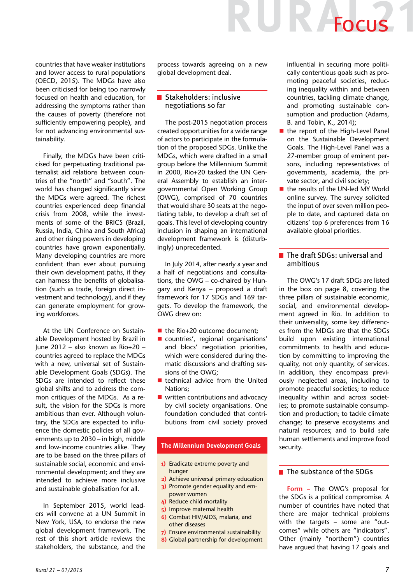## IR Focus

countries that have weaker institutions and lower access to rural populations (OECD, 2015). The MDGs have also been criticised for being too narrowly focused on health and education, for addressing the symptoms rather than the causes of poverty (therefore not sufficiently empowering people), and for not advancing environmental sustainability.

Finally, the MDGs have been criticised for perpetuating traditional paternalist aid relations between countries of the "north" and "south". The world has changed significantly since the MDGs were agreed. The richest countries experienced deep financial crisis from 2008, while the investments of some of the BRICS (Brazil, Russia, India, China and South Africa) and other rising powers in developing countries have grown exponentially. Many developing countries are more confident than ever about pursuing their own development paths, if they can harness the benefits of globalisation (such as trade, foreign direct investment and technology), and if they can generate employment for growing workforces.

At the UN Conference on Sustainable Development hosted by Brazil in June 2012 – also known as Rio+20 – countries agreed to replace the MDGs with a new, universal set of Sustainable Development Goals (SDGs). The SDGs are intended to reflect these global shifts and to address the common critiques of the MDGs. As a result, the vision for the SDGs is more ambitious than ever. Although voluntary, the SDGs are expected to influence the domestic policies of all governments up to 2030 – in high, middle and low-income countries alike. They are to be based on the three pillars of sustainable social, economic and environmental development; and they are intended to achieve more inclusive and sustainable globalisation for all.

In September 2015, world leaders will convene at a UN Summit in New York, USA, to endorse the new global development framework. The rest of this short article reviews the stakeholders, the substance, and the process towards agreeing on a new global development deal.

### Stakeholders: inclusive negotiations so far

The post-2015 negotiation process created opportunities for a wide range of actors to participate in the formulation of the proposed SDGs. Unlike the MDGs, which were drafted in a small group before the Millennium Summit in 2000, Rio+20 tasked the UN General Assembly to establish an intergovernmental Open Working Group (OWG), comprised of 70 countries that would share 30 seats at the negotiating table, to develop a draft set of goals. This level of developing country inclusion in shaping an international development framework is (disturbingly) unprecedented.

In July 2014, after nearly a year and a half of negotiations and consultations, the OWG – co-chaired by Hungary and Kenya – proposed a draft framework for 17 SDGs and 169 targets. To develop the framework, the OWG drew on:

- $\blacksquare$  the Rio+20 outcome document;
- countries', regional organisations' and blocs' negotiation priorities, which were considered during thematic discussions and drafting sessions of the OWG;
- $\blacksquare$  technical advice from the United Nations;
- $\blacksquare$  written contributions and advocacy by civil society organisations. One foundation concluded that contributions from civil society proved

### **The Millennium Development Goals**

- **1)** Eradicate extreme poverty and hunger
- **2)** Achieve universal primary education
- **3)** Promote gender equality and empower women
- **4)** Reduce child mortality
- **5)** Improve maternal health
- **6)** Combat HIV/AIDS, malaria, and other diseases
- **7)** Ensure environmental sustainability
- **8)** Global partnership for development

influential in securing more politically contentious goals such as promoting peaceful societies, reducing inequality within and between countries, tackling climate change, and promoting sustainable consumption and production (Adams, B. and Tobin, K., 2014);

- $\blacksquare$  the report of the High-Level Panel on the Sustainable Development Goals. The High-Level Panel was a 27-member group of eminent persons, including representatives of governments, academia, the private sector, and civil society;
- the results of the UN-led MY World online survey. The survey solicited the input of over seven million people to date, and captured data on citizens' top 6 preferences from 16 available global priorities.

### ■ The draft SDGs: universal and ambitious

The OWG's 17 draft SDGs are listed in the box on page 8, covering the three pillars of sustainable economic, social, and environmental development agreed in Rio. In addition to their universality, some key differences from the MDGs are that the SDGs build upon existing international commitments to health and education by committing to improving the quality, not only quantity, of services. In addition, they encompass previously neglected areas, including to promote peaceful societies; to reduce inequality within and across societies; to promote sustainable consumption and production; to tackle climate change; to preserve ecosystems and natural resources; and to build safe human settlements and improve food security.

### $\blacksquare$  The substance of the SDGs

**Form –** The OWG's proposal for the SDGs is a political compromise. A number of countries have noted that there are major technical problems with the targets – some are "outcomes" while others are "indicators". Other (mainly "northern") countries have argued that having 17 goals and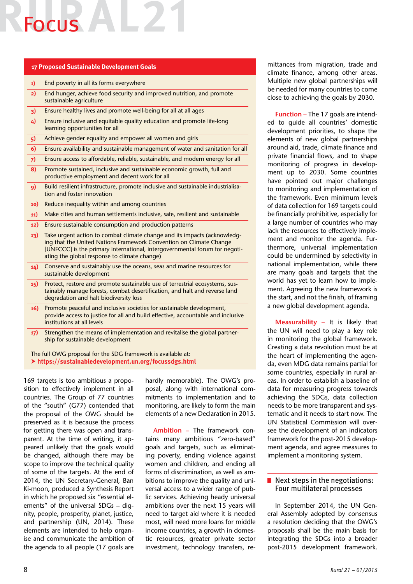### Focus

### **17 Proposed Sustainable Development Goals**

| 1)       | End poverty in all its forms everywhere                                                                                                                                                                                                                                      |
|----------|------------------------------------------------------------------------------------------------------------------------------------------------------------------------------------------------------------------------------------------------------------------------------|
| 2)       | End hunger, achieve food security and improved nutrition, and promote<br>sustainable agriculture                                                                                                                                                                             |
| 3)       | Ensure healthy lives and promote well-being for all at all ages                                                                                                                                                                                                              |
| $\Delta$ | Ensure inclusive and equitable quality education and promote life-long<br>learning opportunities for all                                                                                                                                                                     |
| 5)       | Achieve gender equality and empower all women and girls                                                                                                                                                                                                                      |
| 6)       | Ensure availability and sustainable management of water and sanitation for all                                                                                                                                                                                               |
| 7)       | Ensure access to affordable, reliable, sustainable, and modern energy for all                                                                                                                                                                                                |
| 8)       | Promote sustained, inclusive and sustainable economic growth, full and<br>productive employment and decent work for all                                                                                                                                                      |
| 9)       | Build resilient infrastructure, promote inclusive and sustainable industrialisa-<br>tion and foster innovation                                                                                                                                                               |
| 10)      | Reduce inequality within and among countries                                                                                                                                                                                                                                 |
| 11)      | Make cities and human settlements inclusive, safe, resilient and sustainable                                                                                                                                                                                                 |
| 12)      | Ensure sustainable consumption and production patterns                                                                                                                                                                                                                       |
| 13)      | Take urgent action to combat climate change and its impacts (acknowledg-<br>ing that the United Nations Framework Convention on Climate Change<br>[UNFCCC] is the primary international, intergovernmental forum for negoti-<br>ating the global response to climate change) |
| 14)      | Conserve and sustainably use the oceans, seas and marine resources for<br>sustainable development                                                                                                                                                                            |
| 15)      | Protect, restore and promote sustainable use of terrestrial ecosystems, sus-<br>tainably manage forests, combat desertification, and halt and reverse land<br>degradation and halt biodiversity loss                                                                         |
| 16)      | Promote peaceful and inclusive societies for sustainable development,<br>provide access to justice for all and build effective, accountable and inclusive<br>institutions at all levels                                                                                      |
| 17)      | Strengthen the means of implementation and revitalise the global partner-<br>ship for sustainable development                                                                                                                                                                |

The full OWG proposal for the SDG framework is available at:  **https://sustainabledevelopment.un.org/focussdgs.html**

169 targets is too ambitious a proposition to effectively implement in all countries. The Group of 77 countries of the "south" (G77) contended that the proposal of the OWG should be preserved as it is because the process for getting there was open and transparent. At the time of writing, it appeared unlikely that the goals would be changed, although there may be scope to improve the technical quality of some of the targets. At the end of 2014, the UN Secretary-General, Ban Ki-moon, produced a Synthesis Report in which he proposed six "essential elements" of the universal SDGs – dignity, people, prosperity, planet, justice, and partnership (UN, 2014). These elements are intended to help organise and communicate the ambition of the agenda to all people (17 goals are

hardly memorable). The OWG's proposal, along with international commitments to implementation and to monitoring, are likely to form the main elements of a new Declaration in 2015.

**Ambition –** The framework contains many ambitious "zero-based" goals and targets, such as eliminating poverty, ending violence against women and children, and ending all forms of discrimination, as well as ambitions to improve the quality and universal access to a wider range of public services. Achieving heady universal ambitions over the next 15 years will need to target aid where it is needed most, will need more loans for middle income countries, a growth in domestic resources, greater private sector investment, technology transfers, remittances from migration, trade and climate finance, among other areas. Multiple new global partnerships will be needed for many countries to come close to achieving the goals by 2030.

**Function –** The 17 goals are intended to guide all countries' domestic development priorities, to shape the elements of new global partnerships around aid, trade, climate finance and private financial flows, and to shape monitoring of progress in development up to 2030. Some countries have pointed out major challenges to monitoring and implementation of the framework. Even minimum levels of data collection for 169 targets could be financially prohibitive, especially for a large number of countries who may lack the resources to effectively implement and monitor the agenda. Furthermore, universal implementation could be undermined by selectivity in national implementation, while there are many goals and targets that the world has yet to learn how to implement. Agreeing the new framework is the start, and not the finish, of framing a new global development agenda.

**Measurability –** It is likely that the UN will need to play a key role in monitoring the global framework. Creating a data revolution must be at the heart of implementing the agenda, even MDG data remains partial for some countries, especially in rural areas. In order to establish a baseline of data for measuring progress towards achieving the SDGs, data collection needs to be more transparent and systematic and it needs to start now. The UN Statistical Commission will oversee the development of an indicators framework for the post-2015 development agenda, and agree measures to implement a monitoring system.

### $\blacksquare$  Next steps in the negotiations: Four multilateral processes

In September 2014, the UN General Assembly adopted by consensus a resolution deciding that the OWG's proposals shall be the main basis for integrating the SDGs into a broader post-2015 development framework.